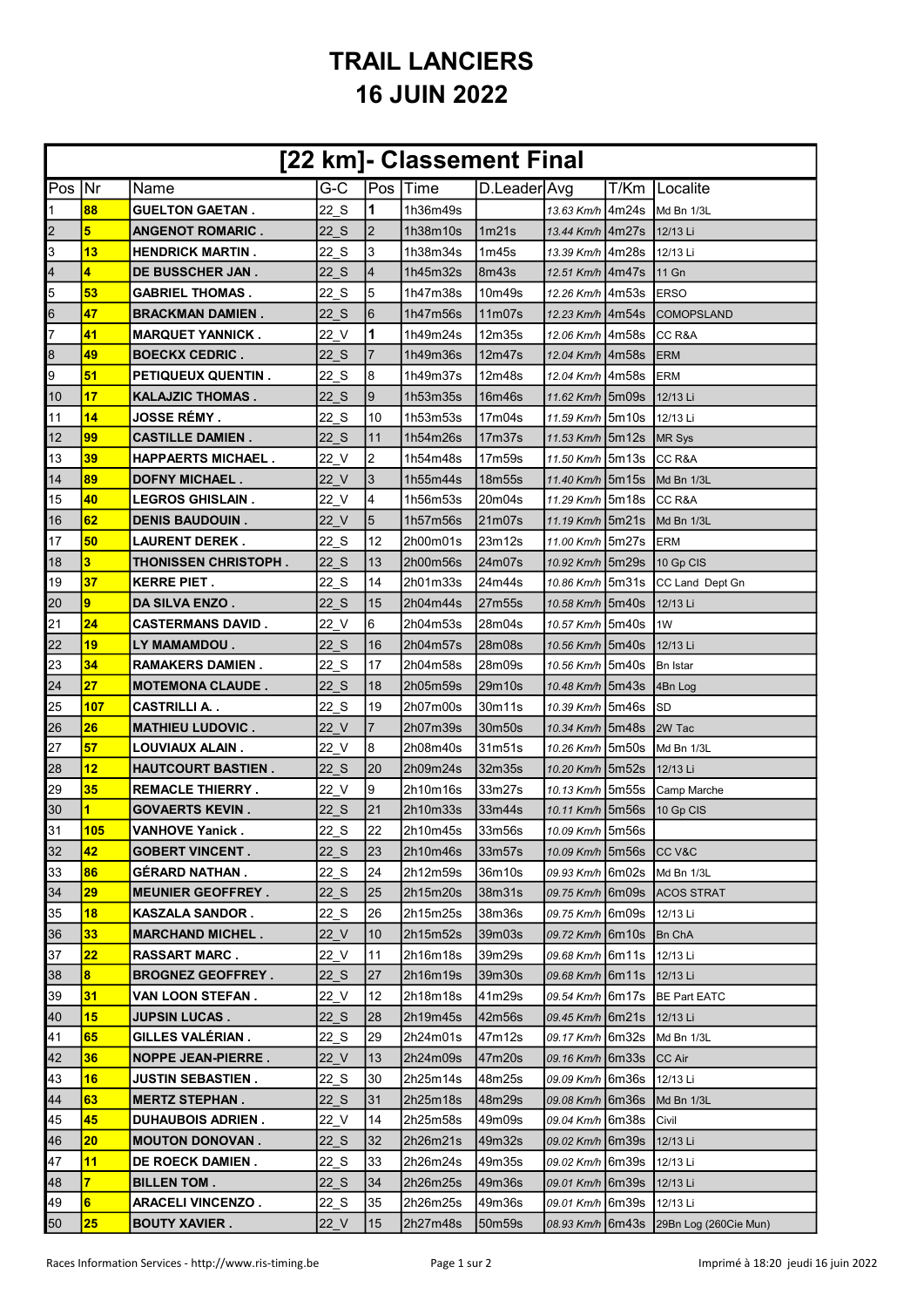## TRAIL LANCIERS 16 JUIN 2022

| [22 km]- Classement Final |                         |                             |        |                          |          |                   |                     |  |                       |
|---------------------------|-------------------------|-----------------------------|--------|--------------------------|----------|-------------------|---------------------|--|-----------------------|
| Pos Nr                    |                         | Name                        | $G-C$  |                          | Pos Time | D.Leader Avg      |                     |  | T/Km   Localite       |
| 1                         | 88                      | <b>GUELTON GAETAN.</b>      | 22 S   | 1                        | 1h36m49s |                   | 13.63 Km/h 4m24s    |  | Md Bn 1/3L            |
| $\overline{2}$            | 5                       | <b>ANGENOT ROMARIC.</b>     | 22 S   | $\overline{2}$           | 1h38m10s | 1m21s             | 13.44 Km/h 4m27s    |  | 12/13 Li              |
| 3                         | 13                      | <b>HENDRICK MARTIN.</b>     | 22 S   | 3                        | 1h38m34s | 1 <sub>m45s</sub> | 13.39 Km/h   4m28s  |  | 12/13 Li              |
| 4                         | 4                       | <b>DE BUSSCHER JAN.</b>     | 22 S   | $\overline{\mathcal{A}}$ | 1h45m32s | 8m43s             | 12.51 Km/h   4m47s  |  | 11 Gn                 |
| 5                         | 53                      | <b>GABRIEL THOMAS .</b>     | 22 S   | 5                        | 1h47m38s | 10m49s            | 12.26 Km/h   4m53s  |  | <b>ERSO</b>           |
| 6                         | 47                      | <b>BRACKMAN DAMIEN.</b>     | 22 S   | 6                        | 1h47m56s | 11m07s            | 12.23 Km/h 4m54s    |  | <b>COMOPSLAND</b>     |
| 7                         | 41                      | <b>MARQUET YANNICK.</b>     | 22 V   | 1                        | 1h49m24s | 12m35s            | 12.06 Km/h   4m58s  |  | CC R&A                |
| 8                         | 49                      | <b>BOECKX CEDRIC.</b>       | 22 S   | 7                        | 1h49m36s | 12m47s            | 12.04 Km/h 4m58s    |  | <b>ERM</b>            |
| 9                         | 51                      | <b>PETIQUEUX QUENTIN.</b>   | 22 S   | 8                        | 1h49m37s | 12m48s            | 12.04 Km/h   4m58s  |  | <b>ERM</b>            |
| 10                        | 17                      | KALAJZIC THOMAS .           | 22 S   | $\overline{9}$           | 1h53m35s | 16m46s            | 11.62 Km/h 5m09s    |  | 12/13 Li              |
| 11                        | 14                      | <b>JOSSE RÉMY.</b>          | 22 S   | 10                       | 1h53m53s | 17m04s            | 11.59 Km/h 5m10s    |  | 12/13 Li              |
| 12                        | 99                      | <b>CASTILLE DAMIEN.</b>     | 22 S   | 11                       | 1h54m26s | 17m37s            | 11.53 Km/h 5m12s    |  | MR Sys                |
| 13                        | 39                      | <b>HAPPAERTS MICHAEL.</b>   | 22 V   | $\overline{2}$           | 1h54m48s | 17m59s            | 11.50 Km/h 5m13s    |  | CC R&A                |
| 14                        | 89                      | <b>DOFNY MICHAEL.</b>       | 22 V   | 3                        | 1h55m44s | 18m55s            | 11.40 Km/h 5m15s    |  | Md Bn 1/3L            |
| 15                        | 40                      | <b>LEGROS GHISLAIN.</b>     | $22$ V | 4                        | 1h56m53s | 20m04s            | 11.29 Km/h 5m18s    |  | CC R&A                |
| 16                        | 62                      | <b>DENIS BAUDOUIN.</b>      | $22$ V | $\overline{5}$           | 1h57m56s | 21m07s            | 11.19 Km/h 5m21s    |  | Md Bn 1/3L            |
| 17                        | 50                      | <b>LAURENT DEREK.</b>       | 22 S   | 12                       | 2h00m01s | 23m12s            | 11.00 Km/h   5m27s  |  | <b>ERM</b>            |
| 18                        | 3                       | <b>THONISSEN CHRISTOPH.</b> | 22 S   | 13                       | 2h00m56s | 24m07s            | 10.92 Km/h 5m29s    |  | 10 Gp CIS             |
| 19                        | 37                      | <b>KERRE PIET .</b>         | 22 S   | 14                       | 2h01m33s | 24m44s            | 10.86 Km/h 5m31s    |  | CC Land Dept Gn       |
| 20                        | $\overline{9}$          | <b>DA SILVA ENZO .</b>      | 22 S   | 15                       | 2h04m44s | 27m55s            | 10.58 Km/h 5m40s    |  | 12/13 Li              |
| 21                        | 24                      | <b>CASTERMANS DAVID.</b>    | $22$ V | 6                        | 2h04m53s | 28m04s            | 10.57 Km/h   5m40s  |  | 1W                    |
| 22                        | 19                      | LY MAMAMDOU .               | 22 S   | 16                       | 2h04m57s | 28m08s            | 10.56 Km/h 5m40s    |  | 12/13 Li              |
| 23                        | 34                      | <b>RAMAKERS DAMIEN .</b>    | 22 S   | 17                       | 2h04m58s | 28m09s            | 10.56 Km/h 5m40s    |  | Bn Istar              |
| 24                        | 27                      | <b>MOTEMONA CLAUDE.</b>     | 22 S   | 18                       | 2h05m59s | 29m10s            | 10.48 Km/h 5m43s    |  | 4Bn Log               |
| 25                        | 107                     | <b>CASTRILLI A</b>          | 22 S   | 19                       | 2h07m00s | 30m11s            | 10.39 Km/h 5m46s    |  | ISD                   |
| 26                        | 26                      | <b>MATHIEU LUDOVIC.</b>     | 22 V   | 7                        | 2h07m39s | 30m50s            | 10.34 Km/h 5m48s    |  | 2W Tac                |
| 27                        | 57                      | LOUVIAUX ALAIN .            | 22 V   | 8                        | 2h08m40s | 31m51s            | 10.26 Km/h 5m50s    |  | Md Bn 1/3L            |
| 28                        | 12                      | <b>HAUTCOURT BASTIEN .</b>  | 22 S   | 20                       | 2h09m24s | 32m35s            | 10.20 Km/h 5m52s    |  | 12/13 Li              |
| 29                        | 35                      | <b>REMACLE THIERRY.</b>     | $22$ V | 9                        | 2h10m16s | 33m27s            | 10.13 Km/h 5m55s    |  | Camp Marche           |
| 30                        | $\overline{\mathbf{1}}$ | <b>GOVAERTS KEVIN.</b>      | 22 S   | 21                       | 2h10m33s | 33m44s            | 10.11 Km/h 5m56s    |  | 10 Gp CIS             |
| 31                        | 105                     | <b>VANHOVE Yanick.</b>      | 22 S   | 22                       | 2h10m45s | 33m56s            | 10.09 Km/h 5m56s    |  |                       |
| 32                        | 42                      | <b>GOBERT VINCENT.</b>      | 22 S   | 23                       | 2h10m46s | 33m57s            | 10.09 Km/h 5m56s    |  | ICC V&C               |
| 33                        | 86                      | <b>GÉRARD NATHAN.</b>       | 22 S   | 24                       | 2h12m59s | 36m10s            | 09.93 Km/h 6m02s    |  | Md Bn 1/3L            |
| 34                        | 29                      | <b>MEUNIER GEOFFREY.</b>    | 22 S   | 25                       | 2h15m20s | 38m31s            | 09.75 Km/h   6m09s  |  | <b>ACOS STRAT</b>     |
| 35                        | 18                      | <b>KASZALA SANDOR.</b>      | 22 S   | 26                       | 2h15m25s | 38m36s            | 09.75 Km/h   6m09s  |  | 12/13 Li              |
| 36                        | 33                      | <b>MARCHAND MICHEL.</b>     | 22 V   | 10                       | 2h15m52s | 39m03s            | 09.72 Km/h   6m 10s |  | Bn ChA                |
| 37                        | 22                      | <b>RASSART MARC.</b>        | 22 V   | 11                       | 2h16m18s | 39m29s            | 09.68 Km/h   6m11s  |  | 12/13 Li              |
| 38                        | $\overline{\mathbf{8}}$ | <b>BROGNEZ GEOFFREY.</b>    | 22 S   | 27                       | 2h16m19s | 39m30s            | 09.68 Km/h   6m 11s |  | 12/13 Li              |
| 39                        | 31                      | VAN LOON STEFAN .           | $22$ V | 12                       | 2h18m18s | 41m29s            | 09.54 Km/h   6m 17s |  | <b>BE Part EATC</b>   |
| 40                        | 15                      | <b>JUPSIN LUCAS.</b>        | 22 S   | 28                       | 2h19m45s | 42m56s            | 09.45 Km/h   6m21s  |  | 12/13 Li              |
| 41                        | 65                      | <b>GILLES VALÉRIAN.</b>     | 22 S   | 29                       | 2h24m01s | 47m12s            | 09.17 Km/h   6m32s  |  | Md Bn 1/3L            |
| 42                        | 36                      | <b>NOPPE JEAN-PIERRE.</b>   | 22 V   | 13                       | 2h24m09s | 47m20s            | 09.16 Km/h   6m33s  |  | <b>CC Air</b>         |
| 43                        | 16                      | <b>JUSTIN SEBASTIEN .</b>   | 22 S   | 30                       | 2h25m14s | 48m25s            | 09.09 Km/h   6m36s  |  | 12/13 Li              |
| 44                        | 63                      | <b>MERTZ STEPHAN.</b>       | 22 S   | 31                       | 2h25m18s | 48m29s            | 09.08 Km/h   6m36s  |  | Md Bn 1/3L            |
| 45                        | 45                      | <b>DUHAUBOIS ADRIEN.</b>    | 22 V   | 14                       | 2h25m58s | 49m09s            | 09.04 Km/h 6m38s    |  | Civil                 |
| 46                        | 20                      | <b>MOUTON DONOVAN.</b>      | 22 S   | 32                       | 2h26m21s | 49m32s            | 09.02 Km/h   6m39s  |  | 12/13 Li              |
| 47                        | 11                      | DE ROECK DAMIEN.            | 22 S   | 33                       | 2h26m24s | 49m35s            | 09.02 Km/h   6m39s  |  | 12/13 Li              |
| 48                        | $\overline{7}$          | <b>BILLEN TOM.</b>          | 22 S   | 34                       | 2h26m25s | 49m36s            | 09.01 Km/h 6m39s    |  | 12/13 Li              |
| 49                        | $6\phantom{a}$          | <b>ARACELI VINCENZO.</b>    | 22 S   | 35                       | 2h26m25s | 49m36s            | 09.01 Km/h   6m39s  |  | 12/13 Li              |
| 50                        | 25                      | <b>BOUTY XAVIER.</b>        | $22$ V | 15                       | 2h27m48s | 50m59s            | 08.93 $Km/h$ 6m43s  |  | 29Bn Log (260Cie Mun) |